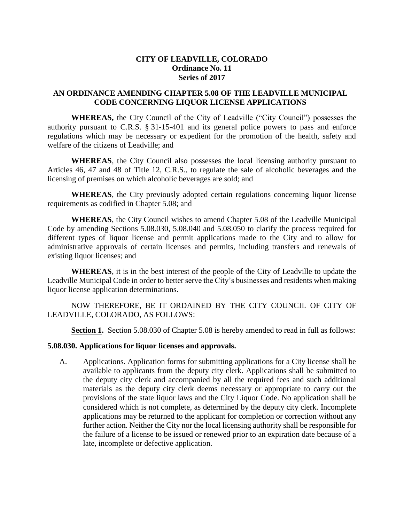## **CITY OF LEADVILLE, COLORADO Ordinance No. 11 Series of 2017**

## **AN ORDINANCE AMENDING CHAPTER 5.08 OF THE LEADVILLE MUNICIPAL CODE CONCERNING LIQUOR LICENSE APPLICATIONS**

**WHEREAS,** the City Council of the City of Leadville ("City Council") possesses the authority pursuant to C.R.S. § 31-15-401 and its general police powers to pass and enforce regulations which may be necessary or expedient for the promotion of the health, safety and welfare of the citizens of Leadville; and

**WHEREAS**, the City Council also possesses the local licensing authority pursuant to Articles 46, 47 and 48 of Title 12, C.R.S., to regulate the sale of alcoholic beverages and the licensing of premises on which alcoholic beverages are sold; and

**WHEREAS**, the City previously adopted certain regulations concerning liquor license requirements as codified in Chapter 5.08; and

**WHEREAS**, the City Council wishes to amend Chapter 5.08 of the Leadville Municipal Code by amending Sections 5.08.030, 5.08.040 and 5.08.050 to clarify the process required for different types of liquor license and permit applications made to the City and to allow for administrative approvals of certain licenses and permits, including transfers and renewals of existing liquor licenses; and

**WHEREAS**, it is in the best interest of the people of the City of Leadville to update the Leadville Municipal Code in order to better serve the City's businesses and residents when making liquor license application determinations.

NOW THEREFORE, BE IT ORDAINED BY THE CITY COUNCIL OF CITY OF LEADVILLE, COLORADO, AS FOLLOWS:

**Section 1.** Section 5.08.030 of Chapter 5.08 is hereby amended to read in full as follows:

#### **5.08.030. Applications for liquor licenses and approvals.**

A. Applications. Application forms for submitting applications for a City license shall be available to applicants from the deputy city clerk. Applications shall be submitted to the deputy city clerk and accompanied by all the required fees and such additional materials as the deputy city clerk deems necessary or appropriate to carry out the provisions of the state liquor laws and the City Liquor Code. No application shall be considered which is not complete, as determined by the deputy city clerk. Incomplete applications may be returned to the applicant for completion or correction without any further action. Neither the City nor the local licensing authority shall be responsible for the failure of a license to be issued or renewed prior to an expiration date because of a late, incomplete or defective application.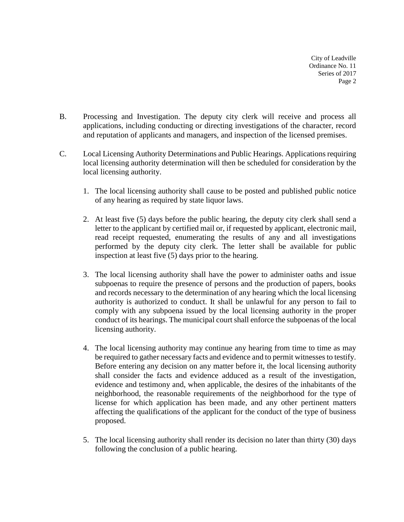- B. Processing and Investigation. The deputy city clerk will receive and process all applications, including conducting or directing investigations of the character, record and reputation of applicants and managers, and inspection of the licensed premises.
- C. Local Licensing Authority Determinations and Public Hearings. Applications requiring local licensing authority determination will then be scheduled for consideration by the local licensing authority.
	- 1. The local licensing authority shall cause to be posted and published public notice of any hearing as required by state liquor laws.
	- 2. At least five (5) days before the public hearing, the deputy city clerk shall send a letter to the applicant by certified mail or, if requested by applicant, electronic mail, read receipt requested, enumerating the results of any and all investigations performed by the deputy city clerk. The letter shall be available for public inspection at least five (5) days prior to the hearing.
	- 3. The local licensing authority shall have the power to administer oaths and issue subpoenas to require the presence of persons and the production of papers, books and records necessary to the determination of any hearing which the local licensing authority is authorized to conduct. It shall be unlawful for any person to fail to comply with any subpoena issued by the local licensing authority in the proper conduct of its hearings. The municipal court shall enforce the subpoenas of the local licensing authority.
	- 4. The local licensing authority may continue any hearing from time to time as may be required to gather necessary facts and evidence and to permit witnesses to testify. Before entering any decision on any matter before it, the local licensing authority shall consider the facts and evidence adduced as a result of the investigation, evidence and testimony and, when applicable, the desires of the inhabitants of the neighborhood, the reasonable requirements of the neighborhood for the type of license for which application has been made, and any other pertinent matters affecting the qualifications of the applicant for the conduct of the type of business proposed.
	- 5. The local licensing authority shall render its decision no later than thirty (30) days following the conclusion of a public hearing.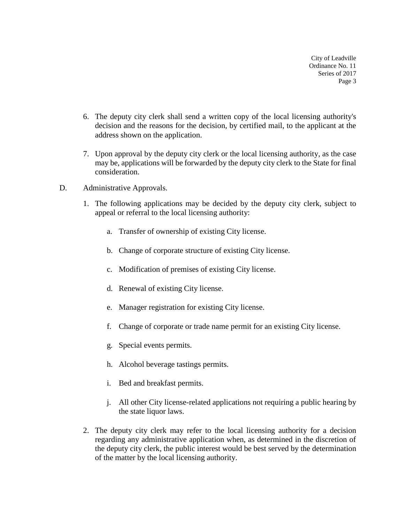- 6. The deputy city clerk shall send a written copy of the local licensing authority's decision and the reasons for the decision, by certified mail, to the applicant at the address shown on the application.
- 7. Upon approval by the deputy city clerk or the local licensing authority, as the case may be, applications will be forwarded by the deputy city clerk to the State for final consideration.
- D. Administrative Approvals.
	- 1. The following applications may be decided by the deputy city clerk, subject to appeal or referral to the local licensing authority:
		- a. Transfer of ownership of existing City license.
		- b. Change of corporate structure of existing City license.
		- c. Modification of premises of existing City license.
		- d. Renewal of existing City license.
		- e. Manager registration for existing City license.
		- f. Change of corporate or trade name permit for an existing City license.
		- g. Special events permits.
		- h. Alcohol beverage tastings permits.
		- i. Bed and breakfast permits.
		- j. All other City license-related applications not requiring a public hearing by the state liquor laws.
	- 2. The deputy city clerk may refer to the local licensing authority for a decision regarding any administrative application when, as determined in the discretion of the deputy city clerk, the public interest would be best served by the determination of the matter by the local licensing authority.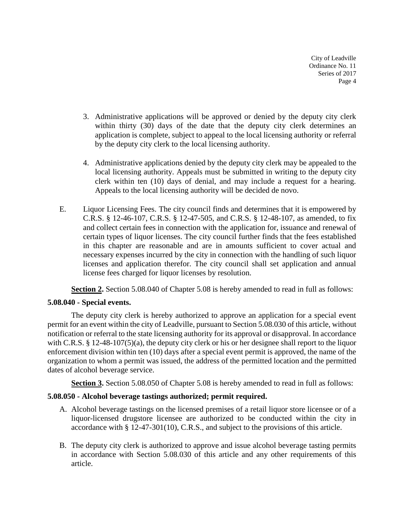- 3. Administrative applications will be approved or denied by the deputy city clerk within thirty (30) days of the date that the deputy city clerk determines an application is complete, subject to appeal to the local licensing authority or referral by the deputy city clerk to the local licensing authority.
- 4. Administrative applications denied by the deputy city clerk may be appealed to the local licensing authority. Appeals must be submitted in writing to the deputy city clerk within ten (10) days of denial, and may include a request for a hearing. Appeals to the local licensing authority will be decided de novo.
- E. Liquor Licensing Fees. The city council finds and determines that it is empowered by C.R.S. § 12-46-107, C.R.S. § 12-47-505, and C.R.S. § 12-48-107, as amended, to fix and collect certain fees in connection with the application for, issuance and renewal of certain types of liquor licenses. The city council further finds that the fees established in this chapter are reasonable and are in amounts sufficient to cover actual and necessary expenses incurred by the city in connection with the handling of such liquor licenses and application therefor. The city council shall set application and annual license fees charged for liquor licenses by resolution.

**Section 2.** Section 5.08.040 of Chapter 5.08 is hereby amended to read in full as follows:

#### **5.08.040 - Special events.**

The deputy city clerk is hereby authorized to approve an application for a special event permit for an event within the city of Leadville, pursuant to Section 5.08.030 of this article, without notification or referral to the state licensing authority for its approval or disapproval. In accordance with C.R.S. § 12-48-107(5)(a), the deputy city clerk or his or her designee shall report to the liquor enforcement division within ten (10) days after a special event permit is approved, the name of the organization to whom a permit was issued, the address of the permitted location and the permitted dates of alcohol beverage service.

**Section 3.** Section 5.08.050 of Chapter 5.08 is hereby amended to read in full as follows:

# **5.08.050 - Alcohol beverage tastings authorized; permit required.**

- A. Alcohol beverage tastings on the licensed premises of a retail liquor store licensee or of a liquor-licensed drugstore licensee are authorized to be conducted within the city in accordance with § 12-47-301(10), C.R.S., and subject to the provisions of this article.
- B. The deputy city clerk is authorized to approve and issue alcohol beverage tasting permits in accordance with Section 5.08.030 of this article and any other requirements of this article.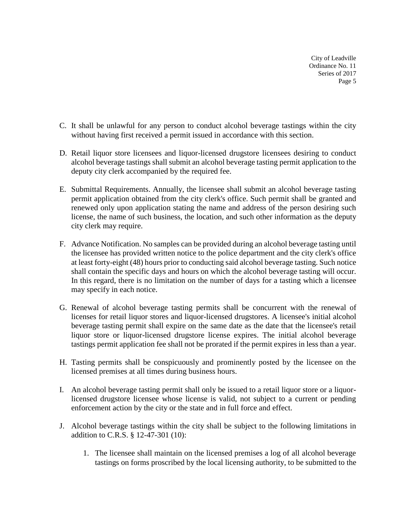- C. It shall be unlawful for any person to conduct alcohol beverage tastings within the city without having first received a permit issued in accordance with this section.
- D. Retail liquor store licensees and liquor-licensed drugstore licensees desiring to conduct alcohol beverage tastings shall submit an alcohol beverage tasting permit application to the deputy city clerk accompanied by the required fee.
- E. Submittal Requirements. Annually, the licensee shall submit an alcohol beverage tasting permit application obtained from the city clerk's office. Such permit shall be granted and renewed only upon application stating the name and address of the person desiring such license, the name of such business, the location, and such other information as the deputy city clerk may require.
- F. Advance Notification. No samples can be provided during an alcohol beverage tasting until the licensee has provided written notice to the police department and the city clerk's office at least forty-eight (48) hours prior to conducting said alcohol beverage tasting. Such notice shall contain the specific days and hours on which the alcohol beverage tasting will occur. In this regard, there is no limitation on the number of days for a tasting which a licensee may specify in each notice.
- G. Renewal of alcohol beverage tasting permits shall be concurrent with the renewal of licenses for retail liquor stores and liquor-licensed drugstores. A licensee's initial alcohol beverage tasting permit shall expire on the same date as the date that the licensee's retail liquor store or liquor-licensed drugstore license expires. The initial alcohol beverage tastings permit application fee shall not be prorated if the permit expires in less than a year.
- H. Tasting permits shall be conspicuously and prominently posted by the licensee on the licensed premises at all times during business hours.
- I. An alcohol beverage tasting permit shall only be issued to a retail liquor store or a liquorlicensed drugstore licensee whose license is valid, not subject to a current or pending enforcement action by the city or the state and in full force and effect.
- J. Alcohol beverage tastings within the city shall be subject to the following limitations in addition to C.R.S. § 12-47-301 (10):
	- 1. The licensee shall maintain on the licensed premises a log of all alcohol beverage tastings on forms proscribed by the local licensing authority, to be submitted to the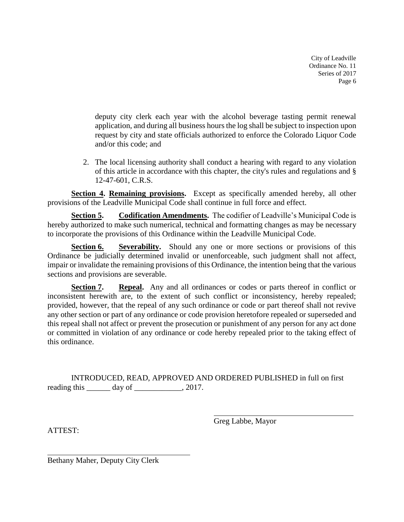deputy city clerk each year with the alcohol beverage tasting permit renewal application, and during all business hours the log shall be subject to inspection upon request by city and state officials authorized to enforce the Colorado Liquor Code and/or this code; and

2. The local licensing authority shall conduct a hearing with regard to any violation of this article in accordance with this chapter, the city's rules and regulations and § 12-47-601, C.R.S.

**Section 4. Remaining provisions.** Except as specifically amended hereby, all other provisions of the Leadville Municipal Code shall continue in full force and effect.

**Section 5. Codification Amendments.** The codifier of Leadville's Municipal Code is hereby authorized to make such numerical, technical and formatting changes as may be necessary to incorporate the provisions of this Ordinance within the Leadville Municipal Code.

**Section 6. Severability.** Should any one or more sections or provisions of this Ordinance be judicially determined invalid or unenforceable, such judgment shall not affect, impair or invalidate the remaining provisions of this Ordinance, the intention being that the various sections and provisions are severable.

**Section 7. Repeal.** Any and all ordinances or codes or parts thereof in conflict or inconsistent herewith are, to the extent of such conflict or inconsistency, hereby repealed; provided, however, that the repeal of any such ordinance or code or part thereof shall not revive any other section or part of any ordinance or code provision heretofore repealed or superseded and this repeal shall not affect or prevent the prosecution or punishment of any person for any act done or committed in violation of any ordinance or code hereby repealed prior to the taking effect of this ordinance.

INTRODUCED, READ, APPROVED AND ORDERED PUBLISHED in full on first reading this \_\_\_\_\_\_\_ day of \_\_\_\_\_\_\_\_\_\_\_, 2017.

Greg Labbe, Mayor

ATTEST:

Bethany Maher, Deputy City Clerk